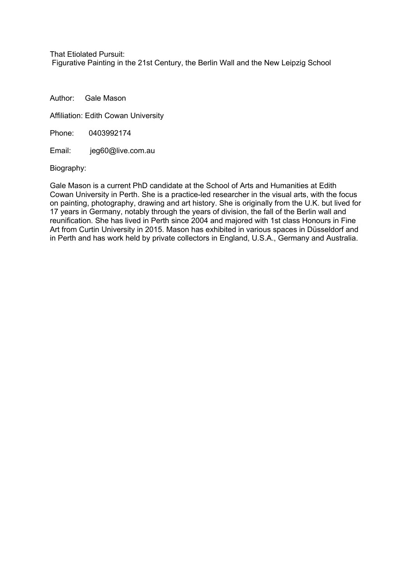That Etiolated Pursuit:

Figurative Painting in the 21st Century, the Berlin Wall and the New Leipzig School

Author: Gale Mason

Affiliation: Edith Cowan University

Phone: 0403992174

Email: jeg60@live.com.au

Biography:

Gale Mason is a current PhD candidate at the School of Arts and Humanities at Edith Cowan University in Perth. She is a practice-led researcher in the visual arts, with the focus on painting, photography, drawing and art history. She is originally from the U.K. but lived for 17 years in Germany, notably through the years of division, the fall of the Berlin wall and reunification. She has lived in Perth since 2004 and majored with 1st class Honours in Fine Art from Curtin University in 2015. Mason has exhibited in various spaces in Düsseldorf and in Perth and has work held by private collectors in England, U.S.A., Germany and Australia.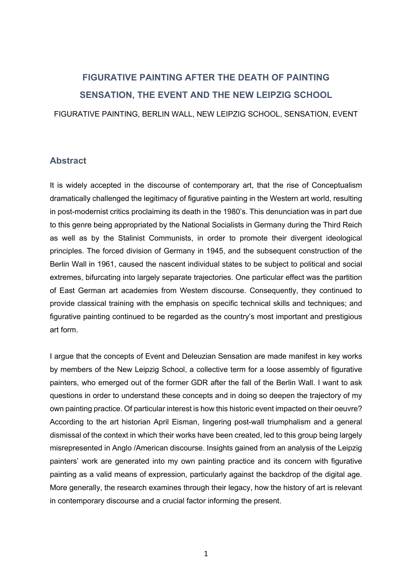## **FIGURATIVE PAINTING AFTER THE DEATH OF PAINTING SENSATION, THE EVENT AND THE NEW LEIPZIG SCHOOL** FIGURATIVE PAINTING, BERLIN WALL, NEW LEIPZIG SCHOOL, SENSATION, EVENT

## **Abstract**

It is widely accepted in the discourse of contemporary art, that the rise of Conceptualism dramatically challenged the legitimacy of figurative painting in the Western art world, resulting in post-modernist critics proclaiming its death in the 1980's. This denunciation was in part due to this genre being appropriated by the National Socialists in Germany during the Third Reich as well as by the Stalinist Communists, in order to promote their divergent ideological principles. The forced division of Germany in 1945, and the subsequent construction of the Berlin Wall in 1961, caused the nascent individual states to be subject to political and social extremes, bifurcating into largely separate trajectories. One particular effect was the partition of East German art academies from Western discourse. Consequently, they continued to provide classical training with the emphasis on specific technical skills and techniques; and figurative painting continued to be regarded as the country's most important and prestigious art form.

I argue that the concepts of Event and Deleuzian Sensation are made manifest in key works by members of the New Leipzig School, a collective term for a loose assembly of figurative painters, who emerged out of the former GDR after the fall of the Berlin Wall. I want to ask questions in order to understand these concepts and in doing so deepen the trajectory of my own painting practice. Of particular interest is how this historic event impacted on their oeuvre? According to the art historian April Eisman, lingering post-wall triumphalism and a general dismissal of the context in which their works have been created, led to this group being largely misrepresented in Anglo /American discourse. Insights gained from an analysis of the Leipzig painters' work are generated into my own painting practice and its concern with figurative painting as a valid means of expression, particularly against the backdrop of the digital age. More generally, the research examines through their legacy, how the history of art is relevant in contemporary discourse and a crucial factor informing the present.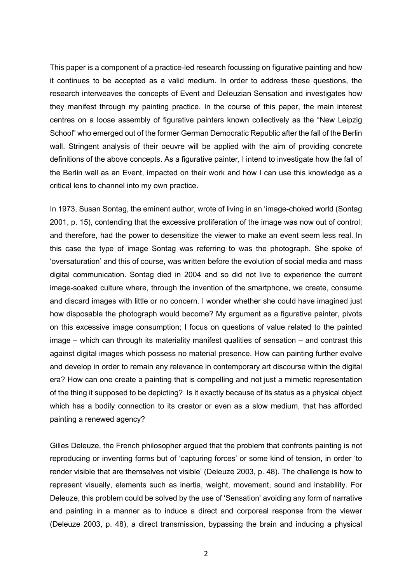This paper is a component of a practice-led research focussing on figurative painting and how it continues to be accepted as a valid medium. In order to address these questions, the research interweaves the concepts of Event and Deleuzian Sensation and investigates how they manifest through my painting practice. In the course of this paper, the main interest centres on a loose assembly of figurative painters known collectively as the "New Leipzig School" who emerged out of the former German Democratic Republic after the fall of the Berlin wall. Stringent analysis of their oeuvre will be applied with the aim of providing concrete definitions of the above concepts. As a figurative painter, I intend to investigate how the fall of the Berlin wall as an Event, impacted on their work and how I can use this knowledge as a critical lens to channel into my own practice.

In 1973, Susan Sontag, the eminent author, wrote of living in an 'image-choked world (Sontag 2001, p. 15), contending that the excessive proliferation of the image was now out of control; and therefore, had the power to desensitize the viewer to make an event seem less real. In this case the type of image Sontag was referring to was the photograph. She spoke of 'oversaturation' and this of course, was written before the evolution of social media and mass digital communication. Sontag died in 2004 and so did not live to experience the current image-soaked culture where, through the invention of the smartphone, we create, consume and discard images with little or no concern. I wonder whether she could have imagined just how disposable the photograph would become? My argument as a figurative painter, pivots on this excessive image consumption; I focus on questions of value related to the painted image – which can through its materiality manifest qualities of sensation – and contrast this against digital images which possess no material presence. How can painting further evolve and develop in order to remain any relevance in contemporary art discourse within the digital era? How can one create a painting that is compelling and not just a mimetic representation of the thing it supposed to be depicting? Is it exactly because of its status as a physical object which has a bodily connection to its creator or even as a slow medium, that has afforded painting a renewed agency?

Gilles Deleuze, the French philosopher argued that the problem that confronts painting is not reproducing or inventing forms but of 'capturing forces' or some kind of tension, in order 'to render visible that are themselves not visible' (Deleuze 2003, p. 48). The challenge is how to represent visually, elements such as inertia, weight, movement, sound and instability. For Deleuze, this problem could be solved by the use of 'Sensation' avoiding any form of narrative and painting in a manner as to induce a direct and corporeal response from the viewer (Deleuze 2003, p. 48), a direct transmission, bypassing the brain and inducing a physical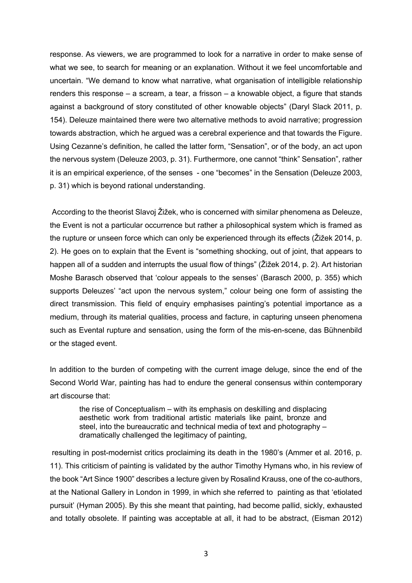response. As viewers, we are programmed to look for a narrative in order to make sense of what we see, to search for meaning or an explanation. Without it we feel uncomfortable and uncertain. "We demand to know what narrative, what organisation of intelligible relationship renders this response – a scream, a tear, a frisson – a knowable object, a figure that stands against a background of story constituted of other knowable objects" (Daryl Slack 2011, p. 154). Deleuze maintained there were two alternative methods to avoid narrative; progression towards abstraction, which he argued was a cerebral experience and that towards the Figure. Using Cezanne's definition, he called the latter form, "Sensation", or of the body, an act upon the nervous system (Deleuze 2003, p. 31). Furthermore, one cannot "think" Sensation", rather it is an empirical experience, of the senses - one "becomes" in the Sensation (Deleuze 2003, p. 31) which is beyond rational understanding.

According to the theorist Slavoj Žižek, who is concerned with similar phenomena as Deleuze, the Event is not a particular occurrence but rather a philosophical system which is framed as the rupture or unseen force which can only be experienced through its effects (Žižek 2014, p. 2). He goes on to explain that the Event is "something shocking, out of joint, that appears to happen all of a sudden and interrupts the usual flow of things" (Žižek 2014, p. 2). Art historian Moshe Barasch observed that 'colour appeals to the senses' (Barasch 2000, p. 355) which supports Deleuzes' "act upon the nervous system," colour being one form of assisting the direct transmission. This field of enquiry emphasises painting's potential importance as a medium, through its material qualities, process and facture, in capturing unseen phenomena such as Evental rupture and sensation, using the form of the mis-en-scene, das Bühnenbild or the staged event.

In addition to the burden of competing with the current image deluge, since the end of the Second World War, painting has had to endure the general consensus within contemporary art discourse that:

the rise of Conceptualism – with its emphasis on deskilling and displacing aesthetic work from traditional artistic materials like paint, bronze and steel, into the bureaucratic and technical media of text and photography – dramatically challenged the legitimacy of painting,

resulting in post-modernist critics proclaiming its death in the 1980's (Ammer et al. 2016, p. 11). This criticism of painting is validated by the author Timothy Hymans who, in his review of the book "Art Since 1900" describes a lecture given by Rosalind Krauss, one of the co-authors, at the National Gallery in London in 1999, in which she referred to painting as that 'etiolated pursuit' (Hyman 2005). By this she meant that painting, had become pallid, sickly, exhausted and totally obsolete. If painting was acceptable at all, it had to be abstract, (Eisman 2012)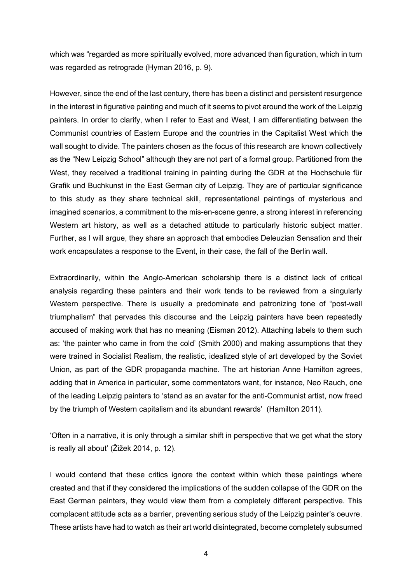which was "regarded as more spiritually evolved, more advanced than figuration, which in turn was regarded as retrograde (Hyman 2016, p. 9).

However, since the end of the last century, there has been a distinct and persistent resurgence in the interest in figurative painting and much of it seems to pivot around the work of the Leipzig painters. In order to clarify, when I refer to East and West, I am differentiating between the Communist countries of Eastern Europe and the countries in the Capitalist West which the wall sought to divide. The painters chosen as the focus of this research are known collectively as the "New Leipzig School" although they are not part of a formal group. Partitioned from the West, they received a traditional training in painting during the GDR at the Hochschule für Grafik und Buchkunst in the East German city of Leipzig. They are of particular significance to this study as they share technical skill, representational paintings of mysterious and imagined scenarios, a commitment to the mis-en-scene genre, a strong interest in referencing Western art history, as well as a detached attitude to particularly historic subject matter. Further, as I will argue, they share an approach that embodies Deleuzian Sensation and their work encapsulates a response to the Event, in their case, the fall of the Berlin wall.

Extraordinarily, within the Anglo-American scholarship there is a distinct lack of critical analysis regarding these painters and their work tends to be reviewed from a singularly Western perspective. There is usually a predominate and patronizing tone of "post-wall triumphalism" that pervades this discourse and the Leipzig painters have been repeatedly accused of making work that has no meaning (Eisman 2012). Attaching labels to them such as: 'the painter who came in from the cold' (Smith 2000) and making assumptions that they were trained in Socialist Realism, the realistic, idealized style of art developed by the Soviet Union, as part of the GDR propaganda machine. The art historian Anne Hamilton agrees, adding that in America in particular, some commentators want, for instance, Neo Rauch, one of the leading Leipzig painters to 'stand as an avatar for the anti-Communist artist, now freed by the triumph of Western capitalism and its abundant rewards' (Hamilton 2011).

'Often in a narrative, it is only through a similar shift in perspective that we get what the story is really all about' (Žižek 2014, p. 12).

I would contend that these critics ignore the context within which these paintings where created and that if they considered the implications of the sudden collapse of the GDR on the East German painters, they would view them from a completely different perspective. This complacent attitude acts as a barrier, preventing serious study of the Leipzig painter's oeuvre. These artists have had to watch as their art world disintegrated, become completely subsumed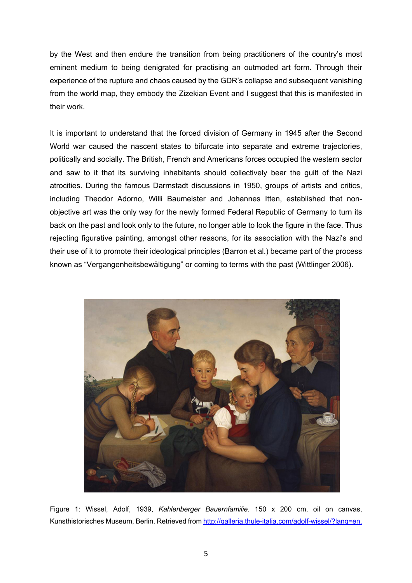by the West and then endure the transition from being practitioners of the country's most eminent medium to being denigrated for practising an outmoded art form. Through their experience of the rupture and chaos caused by the GDR's collapse and subsequent vanishing from the world map, they embody the Zizekian Event and I suggest that this is manifested in their work.

It is important to understand that the forced division of Germany in 1945 after the Second World war caused the nascent states to bifurcate into separate and extreme trajectories, politically and socially. The British, French and Americans forces occupied the western sector and saw to it that its surviving inhabitants should collectively bear the guilt of the Nazi atrocities. During the famous Darmstadt discussions in 1950, groups of artists and critics, including Theodor Adorno, Willi Baumeister and Johannes Itten, established that nonobjective art was the only way for the newly formed Federal Republic of Germany to turn its back on the past and look only to the future, no longer able to look the figure in the face. Thus rejecting figurative painting, amongst other reasons, for its association with the Nazi's and their use of it to promote their ideological principles (Barron et al.) became part of the process known as "Vergangenheitsbewältigung" or coming to terms with the past (Wittlinger 2006).



Figure 1: Wissel, Adolf, 1939, *Kahlenberger Bauernfamilie*. 150 x 200 cm, oil on canvas, Kunsthistorisches Museum, Berlin. Retrieved from http://galleria.thule-italia.com/adolf-wissel/?lang=en.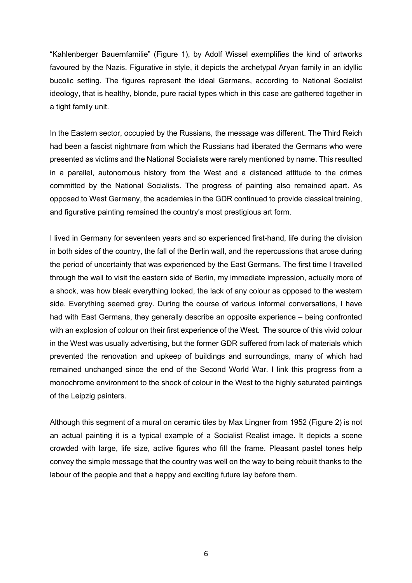"Kahlenberger Bauernfamilie" (Figure 1), by Adolf Wissel exemplifies the kind of artworks favoured by the Nazis. Figurative in style, it depicts the archetypal Aryan family in an idyllic bucolic setting. The figures represent the ideal Germans, according to National Socialist ideology, that is healthy, blonde, pure racial types which in this case are gathered together in a tight family unit.

In the Eastern sector, occupied by the Russians, the message was different. The Third Reich had been a fascist nightmare from which the Russians had liberated the Germans who were presented as victims and the National Socialists were rarely mentioned by name. This resulted in a parallel, autonomous history from the West and a distanced attitude to the crimes committed by the National Socialists. The progress of painting also remained apart. As opposed to West Germany, the academies in the GDR continued to provide classical training, and figurative painting remained the country's most prestigious art form.

I lived in Germany for seventeen years and so experienced first-hand, life during the division in both sides of the country, the fall of the Berlin wall, and the repercussions that arose during the period of uncertainty that was experienced by the East Germans. The first time I travelled through the wall to visit the eastern side of Berlin, my immediate impression, actually more of a shock, was how bleak everything looked, the lack of any colour as opposed to the western side. Everything seemed grey. During the course of various informal conversations, I have had with East Germans, they generally describe an opposite experience – being confronted with an explosion of colour on their first experience of the West. The source of this vivid colour in the West was usually advertising, but the former GDR suffered from lack of materials which prevented the renovation and upkeep of buildings and surroundings, many of which had remained unchanged since the end of the Second World War. I link this progress from a monochrome environment to the shock of colour in the West to the highly saturated paintings of the Leipzig painters.

Although this segment of a mural on ceramic tiles by Max Lingner from 1952 (Figure 2) is not an actual painting it is a typical example of a Socialist Realist image. It depicts a scene crowded with large, life size, active figures who fill the frame. Pleasant pastel tones help convey the simple message that the country was well on the way to being rebuilt thanks to the labour of the people and that a happy and exciting future lay before them.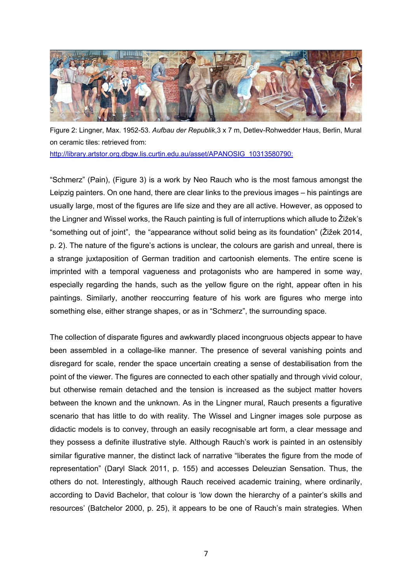

Figure 2: Lingner, Max. 1952-53. *Aufbau der Republik*,3 x 7 m, Detlev-Rohwedder Haus, Berlin, Mural on ceramic tiles: retrieved from:

http://library.artstor.org.dbgw.lis.curtin.edu.au/asset/APANOSIG\_10313580790:

"Schmerz" (Pain), (Figure 3) is a work by Neo Rauch who is the most famous amongst the Leipzig painters. On one hand, there are clear links to the previous images – his paintings are usually large, most of the figures are life size and they are all active. However, as opposed to the Lingner and Wissel works, the Rauch painting is full of interruptions which allude to Žižek's "something out of joint", the "appearance without solid being as its foundation" (Žižek 2014, p. 2). The nature of the figure's actions is unclear, the colours are garish and unreal, there is a strange juxtaposition of German tradition and cartoonish elements. The entire scene is imprinted with a temporal vagueness and protagonists who are hampered in some way, especially regarding the hands, such as the yellow figure on the right, appear often in his paintings. Similarly, another reoccurring feature of his work are figures who merge into something else, either strange shapes, or as in "Schmerz", the surrounding space.

The collection of disparate figures and awkwardly placed incongruous objects appear to have been assembled in a collage-like manner. The presence of several vanishing points and disregard for scale, render the space uncertain creating a sense of destabilisation from the point of the viewer. The figures are connected to each other spatially and through vivid colour, but otherwise remain detached and the tension is increased as the subject matter hovers between the known and the unknown. As in the Lingner mural, Rauch presents a figurative scenario that has little to do with reality. The Wissel and Lingner images sole purpose as didactic models is to convey, through an easily recognisable art form, a clear message and they possess a definite illustrative style. Although Rauch's work is painted in an ostensibly similar figurative manner, the distinct lack of narrative "liberates the figure from the mode of representation" (Daryl Slack 2011, p. 155) and accesses Deleuzian Sensation. Thus, the others do not. Interestingly, although Rauch received academic training, where ordinarily, according to David Bachelor, that colour is 'low down the hierarchy of a painter's skills and resources' (Batchelor 2000, p. 25), it appears to be one of Rauch's main strategies. When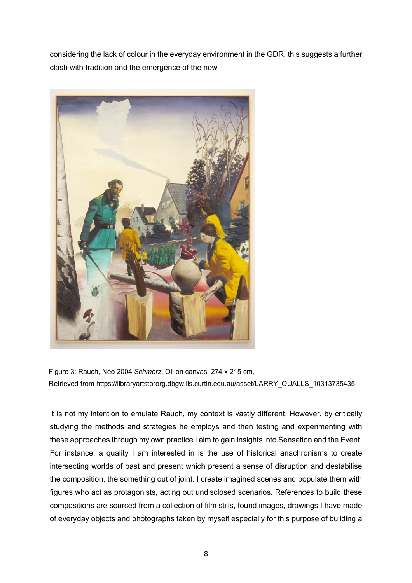considering the lack of colour in the everyday environment in the GDR, this suggests a further clash with tradition and the emergence of the new



Figure 3: Rauch, Neo 2004 *Schmerz*, Oil on canvas, 274 x 215 cm, Retrieved from https://libraryartstororg.dbgw.lis.curtin.edu.au/asset/LARRY\_QUALLS\_10313735435

It is not my intention to emulate Rauch, my context is vastly different. However, by critically studying the methods and strategies he employs and then testing and experimenting with these approaches through my own practice I aim to gain insights into Sensation and the Event. For instance, a quality I am interested in is the use of historical anachronisms to create intersecting worlds of past and present which present a sense of disruption and destabilise the composition, the something out of joint. I create imagined scenes and populate them with figures who act as protagonists, acting out undisclosed scenarios. References to build these compositions are sourced from a collection of film stills, found images, drawings I have made of everyday objects and photographs taken by myself especially for this purpose of building a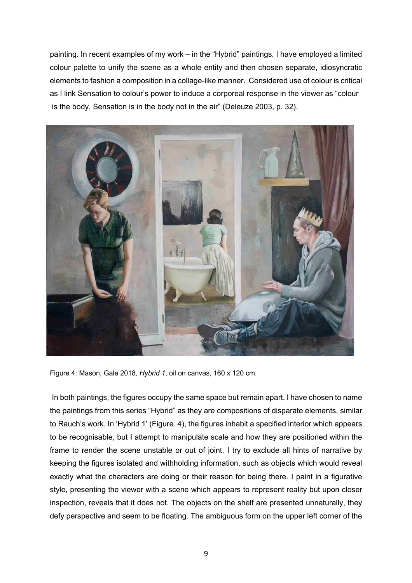painting. In recent examples of my work – in the "Hybrid" paintings, I have employed a limited colour palette to unify the scene as a whole entity and then chosen separate, idiosyncratic elements to fashion a composition in a collage-like manner. Considered use of colour is critical as I link Sensation to colour's power to induce a corporeal response in the viewer as "colour is the body, Sensation is in the body not in the air" (Deleuze 2003, p. 32).



Figure 4: Mason, Gale 2018*, Hybrid 1*, oil on canvas, 160 x 120 cm.

In both paintings, the figures occupy the same space but remain apart. I have chosen to name the paintings from this series "Hybrid" as they are compositions of disparate elements, similar to Rauch's work. In 'Hybrid 1' (Figure. 4), the figures inhabit a specified interior which appears to be recognisable, but I attempt to manipulate scale and how they are positioned within the frame to render the scene unstable or out of joint. I try to exclude all hints of narrative by keeping the figures isolated and withholding information, such as objects which would reveal exactly what the characters are doing or their reason for being there. I paint in a figurative style, presenting the viewer with a scene which appears to represent reality but upon closer inspection, reveals that it does not. The objects on the shelf are presented unnaturally, they defy perspective and seem to be floating. The ambiguous form on the upper left corner of the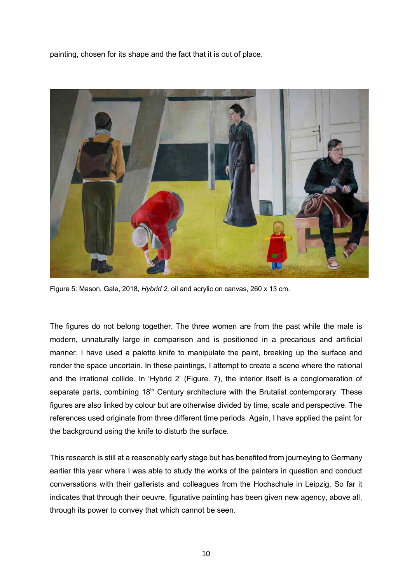painting, chosen for its shape and the fact that it is out of place.



Figure 5: Mason, Gale, 2018, *Hybrid 2,* oil and acrylic on canvas, 260 x 13 cm.

The figures do not belong together. The three women are from the past while the male is modern, unnaturally large in comparison and is positioned in a precarious and artificial manner. I have used a palette knife to manipulate the paint, breaking up the surface and render the space uncertain. In these paintings, I attempt to create a scene where the rational and the irrational collide. In 'Hybrid 2' (Figure. 7), the interior itself is a conglomeration of separate parts, combining 18<sup>th</sup> Century architecture with the Brutalist contemporary. These figures are also linked by colour but are otherwise divided by time, scale and perspective. The references used originate from three different time periods. Again, I have applied the paint for the background using the knife to disturb the surface.

This research is still at a reasonably early stage but has benefited from journeying to Germany earlier this year where I was able to study the works of the painters in question and conduct conversations with their gallerists and colleagues from the Hochschule in Leipzig. So far it indicates that through their oeuvre, figurative painting has been given new agency, above all, through its power to convey that which cannot be seen.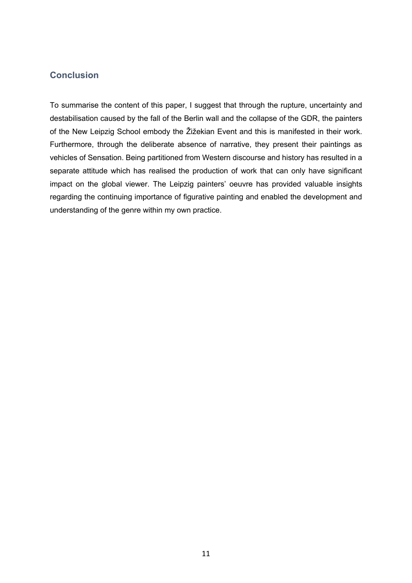## **Conclusion**

To summarise the content of this paper, I suggest that through the rupture, uncertainty and destabilisation caused by the fall of the Berlin wall and the collapse of the GDR, the painters of the New Leipzig School embody the Žižekian Event and this is manifested in their work. Furthermore, through the deliberate absence of narrative, they present their paintings as vehicles of Sensation. Being partitioned from Western discourse and history has resulted in a separate attitude which has realised the production of work that can only have significant impact on the global viewer. The Leipzig painters' oeuvre has provided valuable insights regarding the continuing importance of figurative painting and enabled the development and understanding of the genre within my own practice.